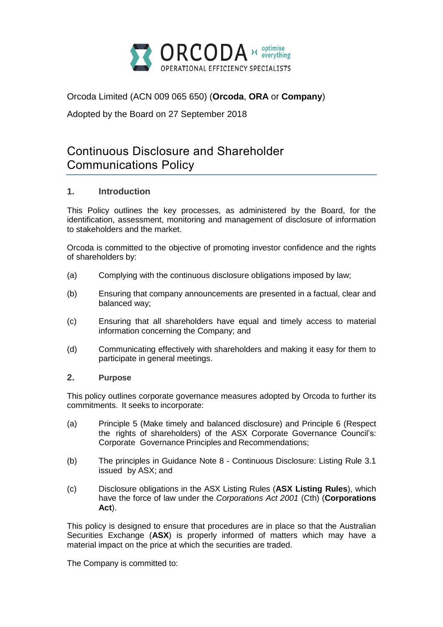

Orcoda Limited (ACN 009 065 650) (**Orcoda**, **ORA** or **Company**)

Adopted by the Board on 27 September 2018

# Continuous Disclosure and Shareholder Communications Policy

# **1. Introduction**

This Policy outlines the key processes, as administered by the Board, for the identification, assessment, monitoring and management of disclosure of information to stakeholders and the market.

Orcoda is committed to the objective of promoting investor confidence and the rights of shareholders by:

- (a) Complying with the continuous disclosure obligations imposed by law;
- (b) Ensuring that company announcements are presented in a factual, clear and balanced way;
- (c) Ensuring that all shareholders have equal and timely access to material information concerning the Company; and
- (d) Communicating effectively with shareholders and making it easy for them to participate in general meetings.

### **2. Purpose**

This policy outlines corporate governance measures adopted by Orcoda to further its commitments. It seeks to incorporate:

- (a) Principle 5 (Make timely and balanced disclosure) and Principle 6 (Respect the rights of shareholders) of the ASX Corporate Governance Council's: Corporate Governance Principles and Recommendations;
- (b) The principles in Guidance Note 8 Continuous Disclosure: Listing Rule 3.1 issued by ASX; and
- (c) Disclosure obligations in the ASX Listing Rules (**ASX Listing Rules**), which have the force of law under the *Corporations Act 2001* (Cth) (**Corporations Act**).

This policy is designed to ensure that procedures are in place so that the Australian Securities Exchange (**ASX**) is properly informed of matters which may have a material impact on the price at which the securities are traded.

The Company is committed to: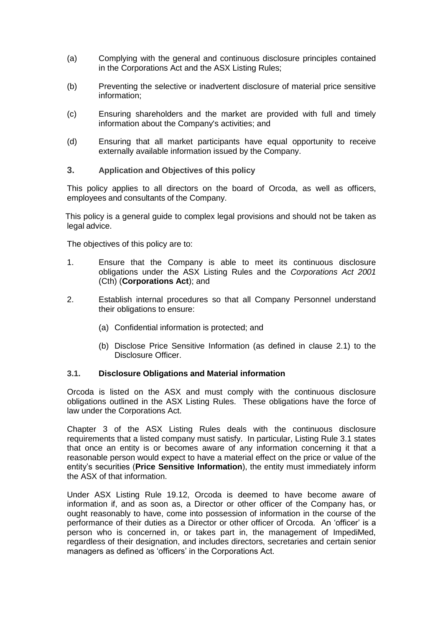- (a) Complying with the general and continuous disclosure principles contained in the Corporations Act and the ASX Listing Rules;
- (b) Preventing the selective or inadvertent disclosure of material price sensitive information;
- (c) Ensuring shareholders and the market are provided with full and timely information about the Company's activities; and
- (d) Ensuring that all market participants have equal opportunity to receive externally available information issued by the Company.

#### **3. Application and Objectives of this policy**

This policy applies to all directors on the board of Orcoda, as well as officers, employees and consultants of the Company.

This policy is a general guide to complex legal provisions and should not be taken as legal advice.

The objectives of this policy are to:

- 1. Ensure that the Company is able to meet its continuous disclosure obligations under the ASX Listing Rules and the *Corporations Act 2001* (Cth) (**Corporations Act**); and
- 2. Establish internal procedures so that all Company Personnel understand their obligations to ensure:
	- (a) Confidential information is protected; and
	- (b) Disclose Price Sensitive Information (as defined in clause 2.1) to the Disclosure Officer.

#### **3.1. Disclosure Obligations and Material information**

Orcoda is listed on the ASX and must comply with the continuous disclosure obligations outlined in the ASX Listing Rules. These obligations have the force of law under the Corporations Act.

Chapter 3 of the ASX Listing Rules deals with the continuous disclosure requirements that a listed company must satisfy. In particular, Listing Rule 3.1 states that once an entity is or becomes aware of any information concerning it that a reasonable person would expect to have a material effect on the price or value of the entity's securities (**Price Sensitive Information**), the entity must immediately inform the ASX of that information.

Under ASX Listing Rule 19.12, Orcoda is deemed to have become aware of information if, and as soon as, a Director or other officer of the Company has, or ought reasonably to have, come into possession of information in the course of the performance of their duties as a Director or other officer of Orcoda. An 'officer' is a person who is concerned in, or takes part in, the management of ImpediMed, regardless of their designation, and includes directors, secretaries and certain senior managers as defined as 'officers' in the Corporations Act.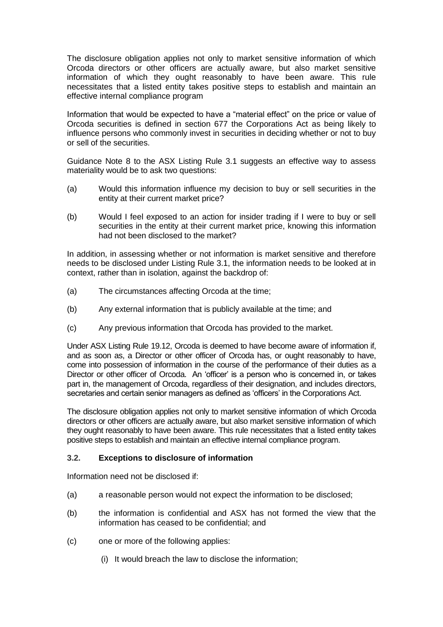The disclosure obligation applies not only to market sensitive information of which Orcoda directors or other officers are actually aware, but also market sensitive information of which they ought reasonably to have been aware. This rule necessitates that a listed entity takes positive steps to establish and maintain an effective internal compliance program

Information that would be expected to have a "material effect" on the price or value of Orcoda securities is defined in section 677 the Corporations Act as being likely to influence persons who commonly invest in securities in deciding whether or not to buy or sell of the securities.

Guidance Note 8 to the ASX Listing Rule 3.1 suggests an effective way to assess materiality would be to ask two questions:

- (a) Would this information influence my decision to buy or sell securities in the entity at their current market price?
- (b) Would I feel exposed to an action for insider trading if I were to buy or sell securities in the entity at their current market price, knowing this information had not been disclosed to the market?

In addition, in assessing whether or not information is market sensitive and therefore needs to be disclosed under Listing Rule 3.1, the information needs to be looked at in context, rather than in isolation, against the backdrop of:

- (a) The circumstances affecting Orcoda at the time;
- (b) Any external information that is publicly available at the time; and
- (c) Any previous information that Orcoda has provided to the market.

Under ASX Listing Rule 19.12, Orcoda is deemed to have become aware of information if, and as soon as, a Director or other officer of Orcoda has, or ought reasonably to have, come into possession of information in the course of the performance of their duties as a Director or other officer of Orcoda. An 'officer' is a person who is concerned in, or takes part in, the management of Orcoda, regardless of their designation, and includes directors, secretaries and certain senior managers as defined as 'officers' in the Corporations Act.

The disclosure obligation applies not only to market sensitive information of which Orcoda directors or other officers are actually aware, but also market sensitive information of which they ought reasonably to have been aware. This rule necessitates that a listed entity takes positive steps to establish and maintain an effective internal compliance program.

### **3.2. Exceptions to disclosure of information**

Information need not be disclosed if:

- (a) a reasonable person would not expect the information to be disclosed;
- (b) the information is confidential and ASX has not formed the view that the information has ceased to be confidential; and
- (c) one or more of the following applies:
	- (i) It would breach the law to disclose the information;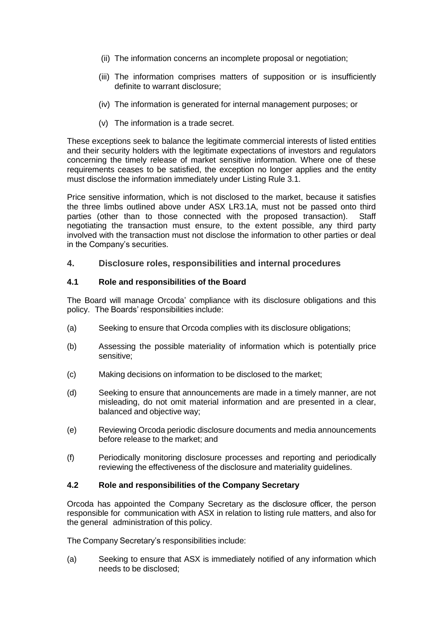- (ii) The information concerns an incomplete proposal or negotiation;
- (iii) The information comprises matters of supposition or is insufficiently definite to warrant disclosure;
- (iv) The information is generated for internal management purposes; or
- (v) The information is a trade secret.

These exceptions seek to balance the legitimate commercial interests of listed entities and their security holders with the legitimate expectations of investors and regulators concerning the timely release of market sensitive information. Where one of these requirements ceases to be satisfied, the exception no longer applies and the entity must disclose the information immediately under Listing Rule 3.1.

Price sensitive information, which is not disclosed to the market, because it satisfies the three limbs outlined above under ASX LR3.1A, must not be passed onto third parties (other than to those connected with the proposed transaction). Staff negotiating the transaction must ensure, to the extent possible, any third party involved with the transaction must not disclose the information to other parties or deal in the Company's securities.

### **4. Disclosure roles, responsibilities and internal procedures**

#### **4.1 Role and responsibilities of the Board**

The Board will manage Orcoda' compliance with its disclosure obligations and this policy. The Boards' responsibilities include:

- (a) Seeking to ensure that Orcoda complies with its disclosure obligations;
- (b) Assessing the possible materiality of information which is potentially price sensitive;
- (c) Making decisions on information to be disclosed to the market;
- (d) Seeking to ensure that announcements are made in a timely manner, are not misleading, do not omit material information and are presented in a clear, balanced and objective way;
- (e) Reviewing Orcoda periodic disclosure documents and media announcements before release to the market; and
- (f) Periodically monitoring disclosure processes and reporting and periodically reviewing the effectiveness of the disclosure and materiality guidelines.

### **4.2 Role and responsibilities of the Company Secretary**

Orcoda has appointed the Company Secretary as the disclosure officer, the person responsible for communication with ASX in relation to listing rule matters, and also for the general administration of this policy.

The Company Secretary's responsibilities include:

(a) Seeking to ensure that ASX is immediately notified of any information which needs to be disclosed;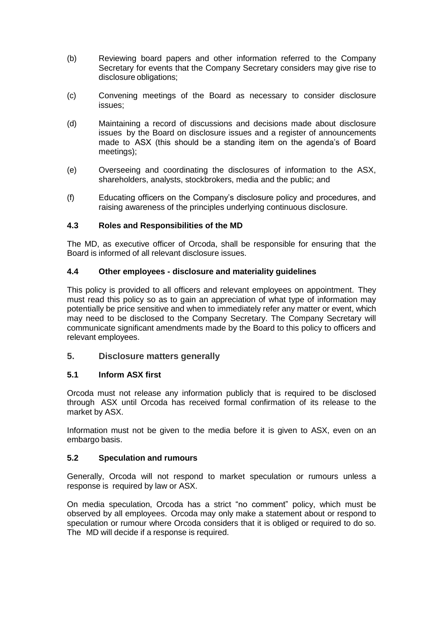- (b) Reviewing board papers and other information referred to the Company Secretary for events that the Company Secretary considers may give rise to disclosure obligations;
- (c) Convening meetings of the Board as necessary to consider disclosure issues;
- (d) Maintaining a record of discussions and decisions made about disclosure issues by the Board on disclosure issues and a register of announcements made to ASX (this should be a standing item on the agenda's of Board meetings);
- (e) Overseeing and coordinating the disclosures of information to the ASX, shareholders, analysts, stockbrokers, media and the public; and
- (f) Educating officers on the Company's disclosure policy and procedures, and raising awareness of the principles underlying continuous disclosure.

### **4.3 Roles and Responsibilities of the MD**

The MD, as executive officer of Orcoda, shall be responsible for ensuring that the Board is informed of all relevant disclosure issues.

### **4.4 Other employees - disclosure and materiality guidelines**

This policy is provided to all officers and relevant employees on appointment. They must read this policy so as to gain an appreciation of what type of information may potentially be price sensitive and when to immediately refer any matter or event, which may need to be disclosed to the Company Secretary. The Company Secretary will communicate significant amendments made by the Board to this policy to officers and relevant employees.

# **5. Disclosure matters generally**

### **5.1 Inform ASX first**

Orcoda must not release any information publicly that is required to be disclosed through ASX until Orcoda has received formal confirmation of its release to the market by ASX.

Information must not be given to the media before it is given to ASX, even on an embargo basis.

### **5.2 Speculation and rumours**

Generally, Orcoda will not respond to market speculation or rumours unless a response is required by law or ASX.

On media speculation, Orcoda has a strict "no comment" policy, which must be observed by all employees. Orcoda may only make a statement about or respond to speculation or rumour where Orcoda considers that it is obliged or required to do so. The MD will decide if a response is required.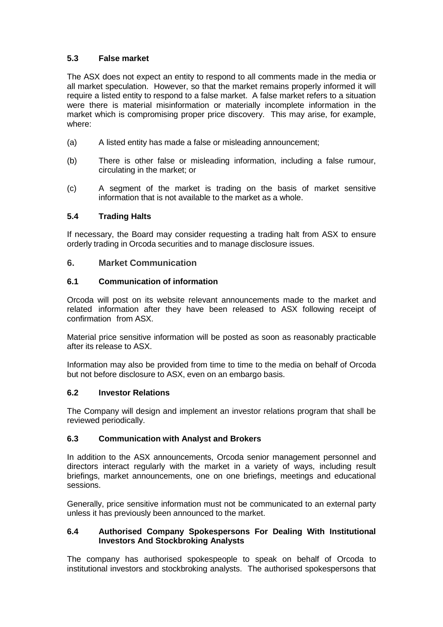# **5.3 False market**

The ASX does not expect an entity to respond to all comments made in the media or all market speculation. However, so that the market remains properly informed it will require a listed entity to respond to a false market. A false market refers to a situation were there is material misinformation or materially incomplete information in the market which is compromising proper price discovery. This may arise, for example, where:

- (a) A listed entity has made a false or misleading announcement;
- (b) There is other false or misleading information, including a false rumour, circulating in the market; or
- (c) A segment of the market is trading on the basis of market sensitive information that is not available to the market as a whole.

### **5.4 Trading Halts**

If necessary, the Board may consider requesting a trading halt from ASX to ensure orderly trading in Orcoda securities and to manage disclosure issues.

### **6. Market Communication**

### **6.1 Communication of information**

Orcoda will post on its website relevant announcements made to the market and related information after they have been released to ASX following receipt of confirmation from ASX.

Material price sensitive information will be posted as soon as reasonably practicable after its release to ASX.

Information may also be provided from time to time to the media on behalf of Orcoda but not before disclosure to ASX, even on an embargo basis.

#### **6.2 Investor Relations**

The Company will design and implement an investor relations program that shall be reviewed periodically.

### **6.3 Communication with Analyst and Brokers**

In addition to the ASX announcements, Orcoda senior management personnel and directors interact regularly with the market in a variety of ways, including result briefings, market announcements, one on one briefings, meetings and educational sessions.

Generally, price sensitive information must not be communicated to an external party unless it has previously been announced to the market.

### **6.4 Authorised Company Spokespersons For Dealing With Institutional Investors And Stockbroking Analysts**

The company has authorised spokespeople to speak on behalf of Orcoda to institutional investors and stockbroking analysts. The authorised spokespersons that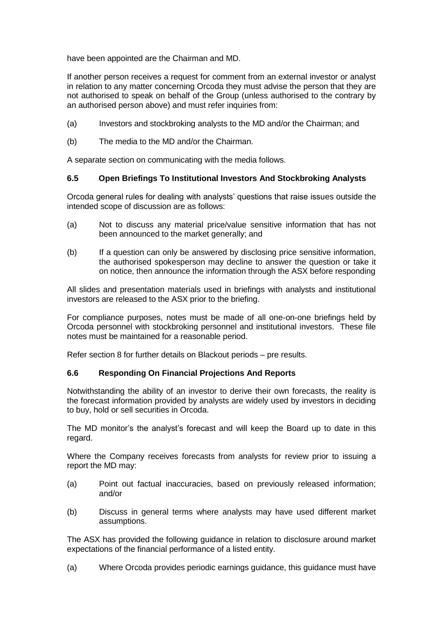have been appointed are the Chairman and MD.

If another person receives a request for comment from an external investor or analyst in relation to any matter concerning Orcoda they must advise the person that they are not authorised to speak on behalf of the Group (unless authorised to the contrary by an authorised person above) and must refer inquiries from:

- (a) Investors and stockbroking analysts to the MD and/or the Chairman; and
- (b) The media to the MD and/or the Chairman.

A separate section on communicating with the media follows.

### **6.5 Open Briefings To Institutional Investors And Stockbroking Analysts**

Orcoda general rules for dealing with analysts' questions that raise issues outside the intended scope of discussion are as follows:

- (a) Not to discuss any material price/value sensitive information that has not been announced to the market generally; and
- (b) If a question can only be answered by disclosing price sensitive information, the authorised spokesperson may decline to answer the question or take it on notice, then announce the information through the ASX before responding

All slides and presentation materials used in briefings with analysts and institutional investors are released to the ASX prior to the briefing.

For compliance purposes, notes must be made of all one-on-one briefings held by Orcoda personnel with stockbroking personnel and institutional investors. These file notes must be maintained for a reasonable period.

Refer section 8 for further details on Blackout periods – pre results.

### **6.6 Responding On Financial Projections And Reports**

Notwithstanding the ability of an investor to derive their own forecasts, the reality is the forecast information provided by analysts are widely used by investors in deciding to buy, hold or sell securities in Orcoda.

The MD monitor's the analyst's forecast and will keep the Board up to date in this regard.

Where the Company receives forecasts from analysts for review prior to issuing a report the MD may:

- (a) Point out factual inaccuracies, based on previously released information; and/or
- (b) Discuss in general terms where analysts may have used different market assumptions.

The ASX has provided the following guidance in relation to disclosure around market expectations of the financial performance of a listed entity.

(a) Where Orcoda provides periodic earnings guidance, this guidance must have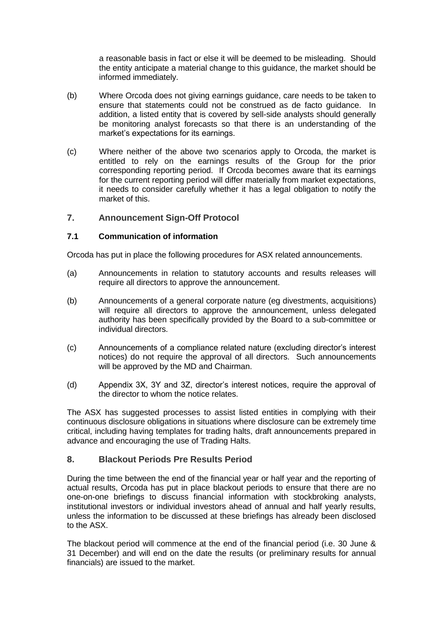a reasonable basis in fact or else it will be deemed to be misleading. Should the entity anticipate a material change to this guidance, the market should be informed immediately.

- (b) Where Orcoda does not giving earnings guidance, care needs to be taken to ensure that statements could not be construed as de facto guidance. In addition, a listed entity that is covered by sell-side analysts should generally be monitoring analyst forecasts so that there is an understanding of the market's expectations for its earnings.
- (c) Where neither of the above two scenarios apply to Orcoda, the market is entitled to rely on the earnings results of the Group for the prior corresponding reporting period. If Orcoda becomes aware that its earnings for the current reporting period will differ materially from market expectations, it needs to consider carefully whether it has a legal obligation to notify the market of this.

# **7. Announcement Sign-Off Protocol**

### **7.1 Communication of information**

Orcoda has put in place the following procedures for ASX related announcements.

- (a) Announcements in relation to statutory accounts and results releases will require all directors to approve the announcement.
- (b) Announcements of a general corporate nature (eg divestments, acquisitions) will require all directors to approve the announcement, unless delegated authority has been specifically provided by the Board to a sub-committee or individual directors.
- (c) Announcements of a compliance related nature (excluding director's interest notices) do not require the approval of all directors. Such announcements will be approved by the MD and Chairman.
- (d) Appendix 3X, 3Y and 3Z, director's interest notices, require the approval of the director to whom the notice relates.

The ASX has suggested processes to assist listed entities in complying with their continuous disclosure obligations in situations where disclosure can be extremely time critical, including having templates for trading halts, draft announcements prepared in advance and encouraging the use of Trading Halts.

# **8. Blackout Periods Pre Results Period**

During the time between the end of the financial year or half year and the reporting of actual results, Orcoda has put in place blackout periods to ensure that there are no one-on-one briefings to discuss financial information with stockbroking analysts, institutional investors or individual investors ahead of annual and half yearly results, unless the information to be discussed at these briefings has already been disclosed to the ASX.

The blackout period will commence at the end of the financial period (i.e. 30 June & 31 December) and will end on the date the results (or preliminary results for annual financials) are issued to the market.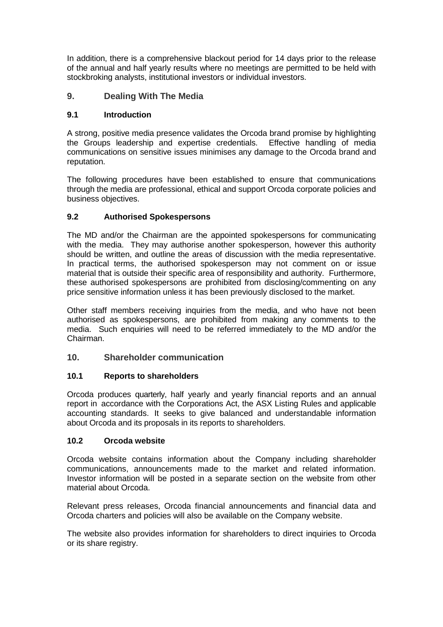In addition, there is a comprehensive blackout period for 14 days prior to the release of the annual and half yearly results where no meetings are permitted to be held with stockbroking analysts, institutional investors or individual investors.

# **9. Dealing With The Media**

### **9.1 Introduction**

A strong, positive media presence validates the Orcoda brand promise by highlighting the Groups leadership and expertise credentials. Effective handling of media communications on sensitive issues minimises any damage to the Orcoda brand and reputation.

The following procedures have been established to ensure that communications through the media are professional, ethical and support Orcoda corporate policies and business objectives.

# **9.2 Authorised Spokespersons**

The MD and/or the Chairman are the appointed spokespersons for communicating with the media. They may authorise another spokesperson, however this authority should be written, and outline the areas of discussion with the media representative. In practical terms, the authorised spokesperson may not comment on or issue material that is outside their specific area of responsibility and authority. Furthermore, these authorised spokespersons are prohibited from disclosing/commenting on any price sensitive information unless it has been previously disclosed to the market.

Other staff members receiving inquiries from the media, and who have not been authorised as spokespersons, are prohibited from making any comments to the media. Such enquiries will need to be referred immediately to the MD and/or the Chairman.

# **10. Shareholder communication**

### **10.1 Reports to shareholders**

Orcoda produces quarterly, half yearly and yearly financial reports and an annual report in accordance with the Corporations Act, the ASX Listing Rules and applicable accounting standards. It seeks to give balanced and understandable information about Orcoda and its proposals in its reports to shareholders.

### **10.2 Orcoda website**

Orcoda website contains information about the Company including shareholder communications, announcements made to the market and related information. Investor information will be posted in a separate section on the website from other material about Orcoda.

Relevant press releases, Orcoda financial announcements and financial data and Orcoda charters and policies will also be available on the Company website.

The website also provides information for shareholders to direct inquiries to Orcoda or its share registry.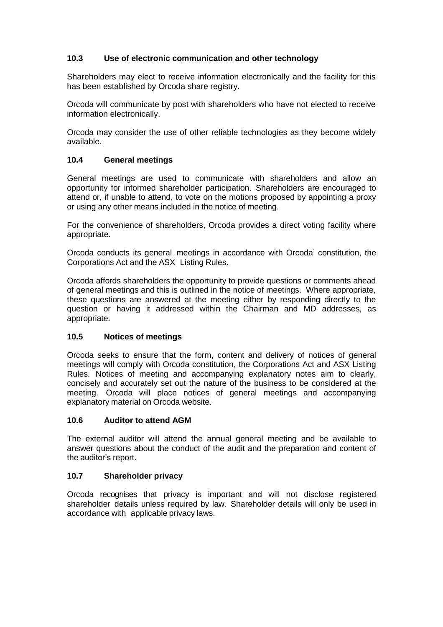### **10.3 Use of electronic communication and other technology**

Shareholders may elect to receive information electronically and the facility for this has been established by Orcoda share registry.

Orcoda will communicate by post with shareholders who have not elected to receive information electronically.

Orcoda may consider the use of other reliable technologies as they become widely available.

### **10.4 General meetings**

General meetings are used to communicate with shareholders and allow an opportunity for informed shareholder participation. Shareholders are encouraged to attend or, if unable to attend, to vote on the motions proposed by appointing a proxy or using any other means included in the notice of meeting.

For the convenience of shareholders, Orcoda provides a direct voting facility where appropriate.

Orcoda conducts its general meetings in accordance with Orcoda' constitution, the Corporations Act and the ASX Listing Rules.

Orcoda affords shareholders the opportunity to provide questions or comments ahead of general meetings and this is outlined in the notice of meetings. Where appropriate, these questions are answered at the meeting either by responding directly to the question or having it addressed within the Chairman and MD addresses, as appropriate.

### **10.5 Notices of meetings**

Orcoda seeks to ensure that the form, content and delivery of notices of general meetings will comply with Orcoda constitution, the Corporations Act and ASX Listing Rules. Notices of meeting and accompanying explanatory notes aim to clearly, concisely and accurately set out the nature of the business to be considered at the meeting. Orcoda will place notices of general meetings and accompanying explanatory material on Orcoda website.

#### **10.6 Auditor to attend AGM**

The external auditor will attend the annual general meeting and be available to answer questions about the conduct of the audit and the preparation and content of the auditor's report.

### **10.7 Shareholder privacy**

Orcoda recognises that privacy is important and will not disclose registered shareholder details unless required by law. Shareholder details will only be used in accordance with applicable privacy laws.